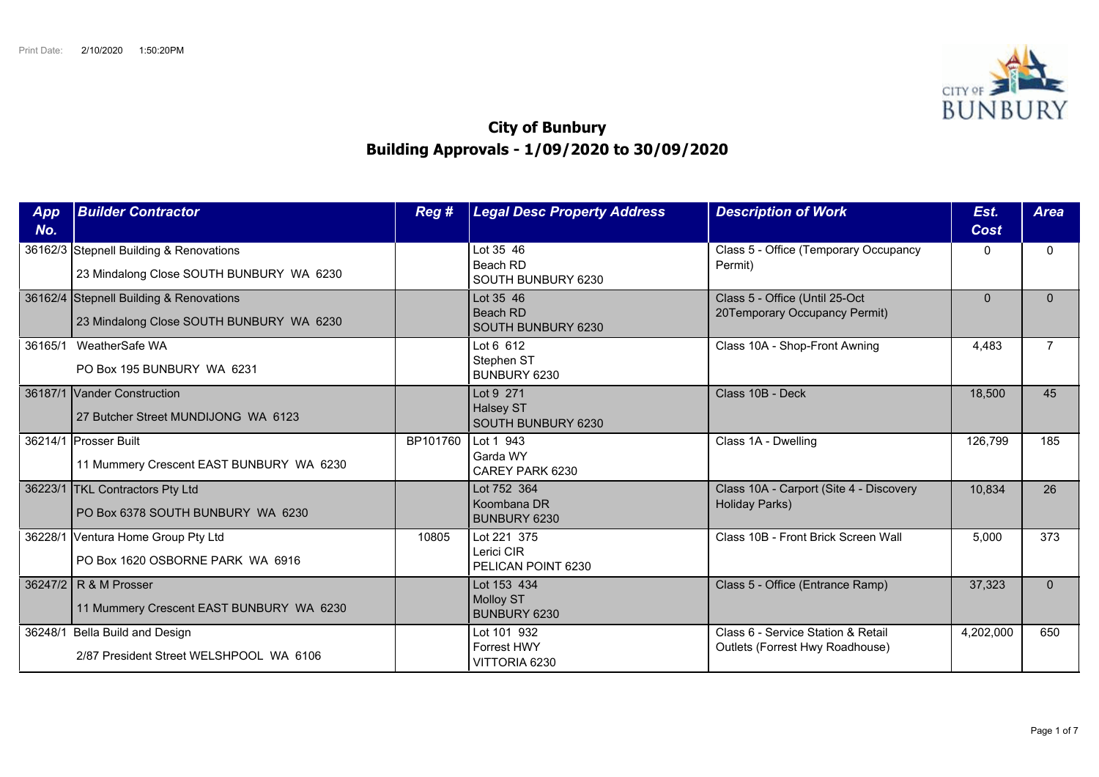

## **City of Bunbury Building Approvals - 1/09/2020 to 30/09/2020**

| App<br>No. | <b>Builder Contractor</b>                                                           | Reg #    | <b>Legal Desc Property Address</b>                  | <b>Description of Work</b>                                            | Est.<br><b>Cost</b> | <b>Area</b> |
|------------|-------------------------------------------------------------------------------------|----------|-----------------------------------------------------|-----------------------------------------------------------------------|---------------------|-------------|
|            | 36162/3 Stepnell Building & Renovations<br>23 Mindalong Close SOUTH BUNBURY WA 6230 |          | Lot 35 46<br>Beach RD<br>SOUTH BUNBURY 6230         | Class 5 - Office (Temporary Occupancy<br>Permit)                      | $\Omega$            | $\Omega$    |
|            | 36162/4 Stepnell Building & Renovations<br>23 Mindalong Close SOUTH BUNBURY WA 6230 |          | Lot 35 46<br>Beach RD<br>SOUTH BUNBURY 6230         | Class 5 - Office (Until 25-Oct<br>20Temporary Occupancy Permit)       | $\mathbf{0}$        | $\Omega$    |
|            | 36165/1 WeatherSafe WA<br>PO Box 195 BUNBURY WA 6231                                |          | Lot 6 612<br>Stephen ST<br>BUNBURY 6230             | Class 10A - Shop-Front Awning                                         | 4,483               |             |
|            | 36187/1 Vander Construction<br>27 Butcher Street MUNDIJONG WA 6123                  |          | Lot 9 271<br><b>Halsey ST</b><br>SOUTH BUNBURY 6230 | Class 10B - Deck                                                      | 18,500              | 45          |
|            | 36214/1 Prosser Built<br>11 Mummery Crescent EAST BUNBURY WA 6230                   | BP101760 | Lot 1 943<br>Garda WY<br>CAREY PARK 6230            | Class 1A - Dwelling                                                   | 126,799             | 185         |
|            | 36223/1 TKL Contractors Pty Ltd<br>PO Box 6378 SOUTH BUNBURY WA 6230                |          | Lot 752 364<br>Koombana DR<br><b>BUNBURY 6230</b>   | Class 10A - Carport (Site 4 - Discovery<br>Holiday Parks)             | 10,834              | 26          |
|            | 36228/1 Ventura Home Group Pty Ltd<br>PO Box 1620 OSBORNE PARK WA 6916              | 10805    | Lot 221 375<br>Lerici CIR<br>PELICAN POINT 6230     | Class 10B - Front Brick Screen Wall                                   | 5,000               | 373         |
|            | 36247/2 R & M Prosser<br>11 Mummery Crescent EAST BUNBURY WA 6230                   |          | Lot 153 434<br><b>Molloy ST</b><br>BUNBURY 6230     | Class 5 - Office (Entrance Ramp)                                      | 37,323              | $\Omega$    |
|            | 36248/1 Bella Build and Design<br>2/87 President Street WELSHPOOL WA 6106           |          | Lot 101 932<br>Forrest HWY<br>VITTORIA 6230         | Class 6 - Service Station & Retail<br>Outlets (Forrest Hwy Roadhouse) | 4,202,000           | 650         |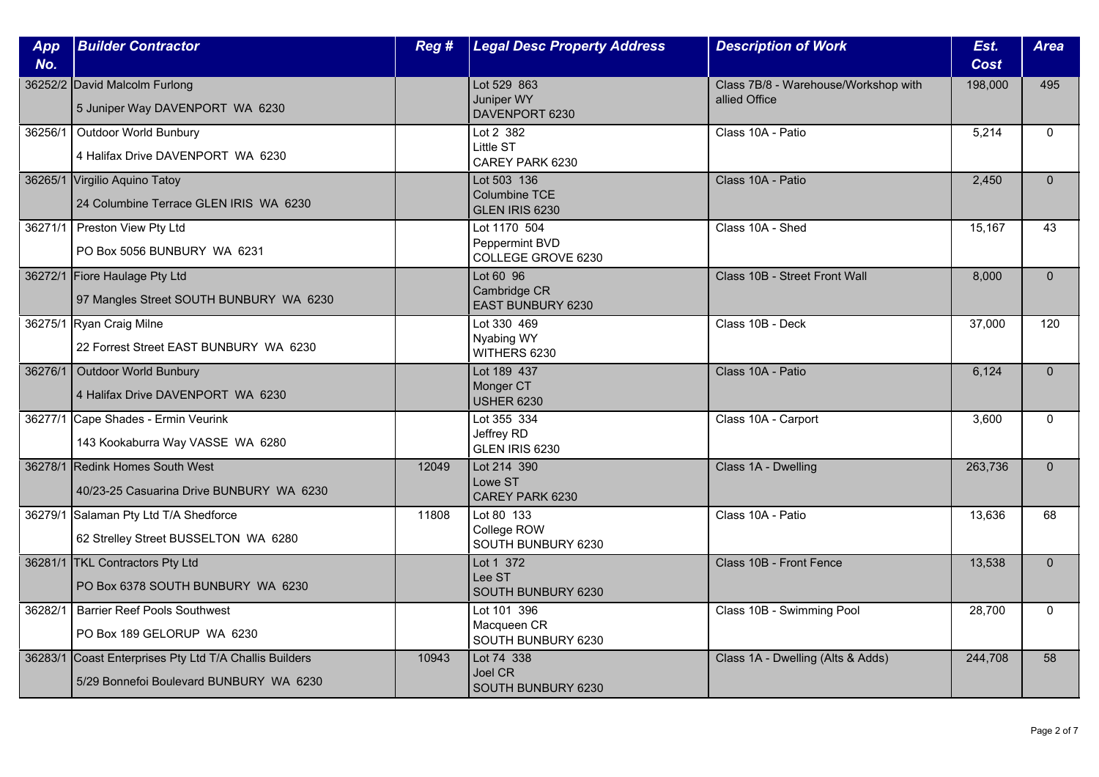| App<br>No. | <b>Builder Contractor</b>                                                                 | Reg # | <b>Legal Desc Property Address</b>                   | <b>Description of Work</b>                            | Est.<br><b>Cost</b> | <b>Area</b>  |
|------------|-------------------------------------------------------------------------------------------|-------|------------------------------------------------------|-------------------------------------------------------|---------------------|--------------|
|            | 36252/2 David Malcolm Furlong<br>5 Juniper Way DAVENPORT WA 6230                          |       | Lot 529 863<br>Juniper WY<br>DAVENPORT 6230          | Class 7B/8 - Warehouse/Workshop with<br>allied Office | 198,000             | 495          |
| 36256/1    | Outdoor World Bunbury<br>4 Halifax Drive DAVENPORT WA 6230                                |       | Lot 2 382<br>Little ST<br>CAREY PARK 6230            | Class 10A - Patio                                     | 5,214               | $\Omega$     |
|            | 36265/1 Virgilio Aquino Tatoy<br>24 Columbine Terrace GLEN IRIS WA 6230                   |       | Lot 503 136<br>Columbine TCE<br>GLEN IRIS 6230       | Class 10A - Patio                                     | 2,450               | $\Omega$     |
|            | 36271/1   Preston View Pty Ltd<br>PO Box 5056 BUNBURY WA 6231                             |       | Lot 1170 504<br>Peppermint BVD<br>COLLEGE GROVE 6230 | Class 10A - Shed                                      | 15,167              | 43           |
|            | 36272/1 Fiore Haulage Pty Ltd<br>97 Mangles Street SOUTH BUNBURY WA 6230                  |       | Lot 60 96<br>Cambridge CR<br>EAST BUNBURY 6230       | Class 10B - Street Front Wall                         | 8,000               | $\Omega$     |
|            | 36275/1 Ryan Craig Milne<br>22 Forrest Street EAST BUNBURY WA 6230                        |       | Lot 330 469<br>Nyabing WY<br>WITHERS 6230            | Class 10B - Deck                                      | 37,000              | 120          |
|            | 36276/1 Outdoor World Bunbury<br>4 Halifax Drive DAVENPORT WA 6230                        |       | Lot 189 437<br>Monger CT<br><b>USHER 6230</b>        | Class 10A - Patio                                     | 6,124               | $\mathbf{0}$ |
|            | 36277/1 Cape Shades - Ermin Veurink<br>143 Kookaburra Way VASSE WA 6280                   |       | Lot 355 334<br>Jeffrey RD<br>GLEN IRIS 6230          | Class 10A - Carport                                   | 3,600               | $\Omega$     |
|            | 36278/1 Redink Homes South West<br>40/23-25 Casuarina Drive BUNBURY WA 6230               | 12049 | Lot 214 390<br>Lowe ST<br>CAREY PARK 6230            | Class 1A - Dwelling                                   | 263,736             | $\Omega$     |
|            | 36279/1 Salaman Pty Ltd T/A Shedforce<br>62 Strelley Street BUSSELTON WA 6280             | 11808 | Lot 80 133<br>College ROW<br>SOUTH BUNBURY 6230      | Class 10A - Patio                                     | 13,636              | 68           |
|            | 36281/1 TKL Contractors Pty Ltd<br>PO Box 6378 SOUTH BUNBURY WA 6230                      |       | Lot 1 372<br>Lee ST<br>SOUTH BUNBURY 6230            | Class 10B - Front Fence                               | 13,538              | $\mathbf{0}$ |
| 36282/1    | <b>Barrier Reef Pools Southwest</b><br>PO Box 189 GELORUP WA 6230                         |       | Lot 101 396<br>Macqueen CR<br>SOUTH BUNBURY 6230     | Class 10B - Swimming Pool                             | 28,700              | $\Omega$     |
| 36283/1    | Coast Enterprises Pty Ltd T/A Challis Builders<br>5/29 Bonnefoi Boulevard BUNBURY WA 6230 | 10943 | Lot 74 338<br>Joel CR<br>SOUTH BUNBURY 6230          | Class 1A - Dwelling (Alts & Adds)                     | 244,708             | 58           |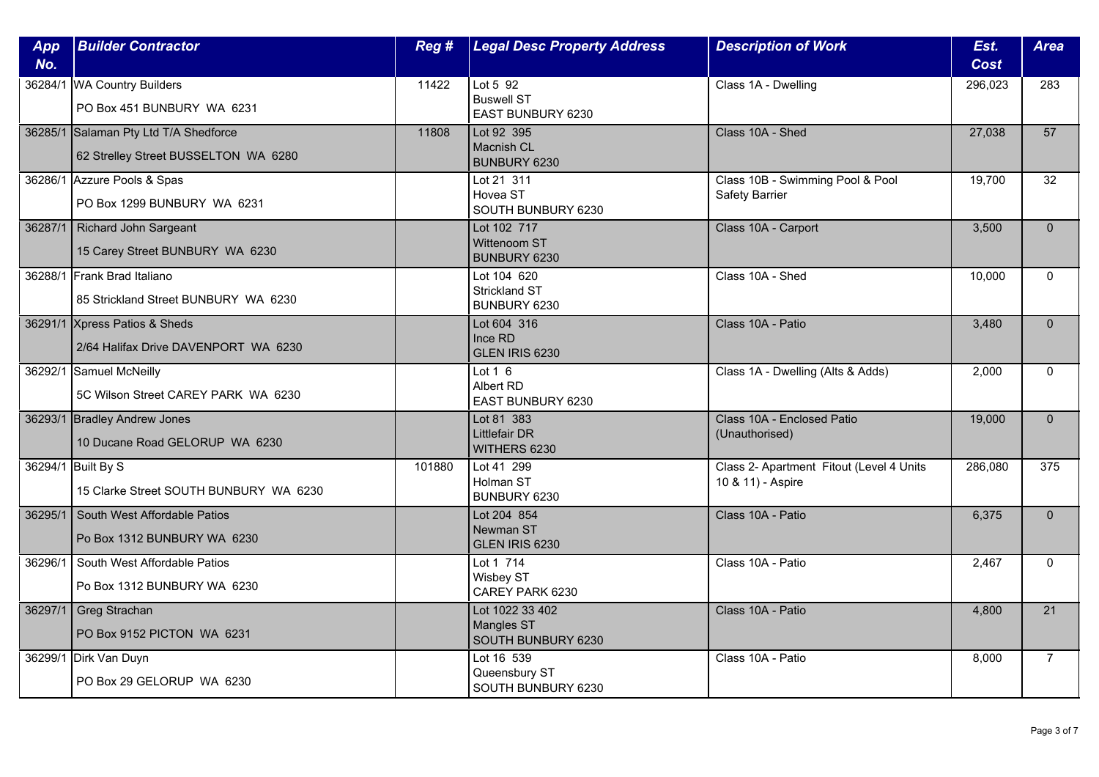| App<br>No. | <b>Builder Contractor</b>                                                     | Reg #  | <b>Legal Desc Property Address</b>                             | <b>Description of Work</b>                                    | Est.<br><b>Cost</b> | <b>Area</b>     |
|------------|-------------------------------------------------------------------------------|--------|----------------------------------------------------------------|---------------------------------------------------------------|---------------------|-----------------|
|            | 36284/1 WA Country Builders<br>PO Box 451 BUNBURY WA 6231                     | 11422  | Lot $5\overline{92}$<br><b>Buswell ST</b><br>EAST BUNBURY 6230 | Class 1A - Dwelling                                           | 296,023             | 283             |
|            | 36285/1 Salaman Pty Ltd T/A Shedforce<br>62 Strelley Street BUSSELTON WA 6280 | 11808  | Lot 92 395<br>Macnish CL<br>BUNBURY 6230                       | Class 10A - Shed                                              | 27,038              | 57              |
|            | 36286/1 Azzure Pools & Spas<br>PO Box 1299 BUNBURY WA 6231                    |        | Lot 21 311<br>Hovea ST<br>SOUTH BUNBURY 6230                   | Class 10B - Swimming Pool & Pool<br><b>Safety Barrier</b>     | 19,700              | 32              |
|            | 36287/1   Richard John Sargeant<br>15 Carey Street BUNBURY WA 6230            |        | Lot 102 717<br>Wittenoom ST<br>BUNBURY 6230                    | Class 10A - Carport                                           | 3,500               | $\Omega$        |
|            | 36288/1 Frank Brad Italiano<br>85 Strickland Street BUNBURY WA 6230           |        | Lot 104 620<br><b>Strickland ST</b><br>BUNBURY 6230            | Class 10A - Shed                                              | 10,000              | $\Omega$        |
|            | 36291/1 Xpress Patios & Sheds<br>2/64 Halifax Drive DAVENPORT WA 6230         |        | Lot 604 316<br>Ince RD<br>GLEN IRIS 6230                       | Class 10A - Patio                                             | 3,480               | $\Omega$        |
|            | 36292/1 Samuel McNeilly<br>5C Wilson Street CAREY PARK WA 6230                |        | Lot $1\,6$<br>Albert RD<br>EAST BUNBURY 6230                   | Class 1A - Dwelling (Alts & Adds)                             | 2,000               | $\Omega$        |
|            | 36293/1 Bradley Andrew Jones<br>10 Ducane Road GELORUP WA 6230                |        | Lot 81 383<br><b>Littlefair DR</b><br>WITHERS 6230             | Class 10A - Enclosed Patio<br>(Unauthorised)                  | 19,000              | $\Omega$        |
|            | 36294/1 Built By S<br>15 Clarke Street SOUTH BUNBURY WA 6230                  | 101880 | Lot 41 299<br>Holman ST<br>BUNBURY 6230                        | Class 2- Apartment Fitout (Level 4 Units<br>10 & 11) - Aspire | 286,080             | 375             |
| 36295/1    | South West Affordable Patios<br>Po Box 1312 BUNBURY WA 6230                   |        | Lot 204 854<br>Newman ST<br>GLEN IRIS 6230                     | Class 10A - Patio                                             | 6,375               | $\Omega$        |
| 36296/1    | South West Affordable Patios<br>Po Box 1312 BUNBURY WA 6230                   |        | Lot 1 714<br>Wisbey ST<br>CAREY PARK 6230                      | Class 10A - Patio                                             | 2,467               | $\Omega$        |
|            | 36297/1 Greg Strachan<br>PO Box 9152 PICTON WA 6231                           |        | Lot 1022 33 402<br><b>Mangles ST</b><br>SOUTH BUNBURY 6230     | Class 10A - Patio                                             | 4,800               | $\overline{21}$ |
|            | 36299/1 Dirk Van Duyn<br>PO Box 29 GELORUP WA 6230                            |        | Lot 16 539<br>Queensbury ST<br>SOUTH BUNBURY 6230              | Class 10A - Patio                                             | 8,000               | $\overline{7}$  |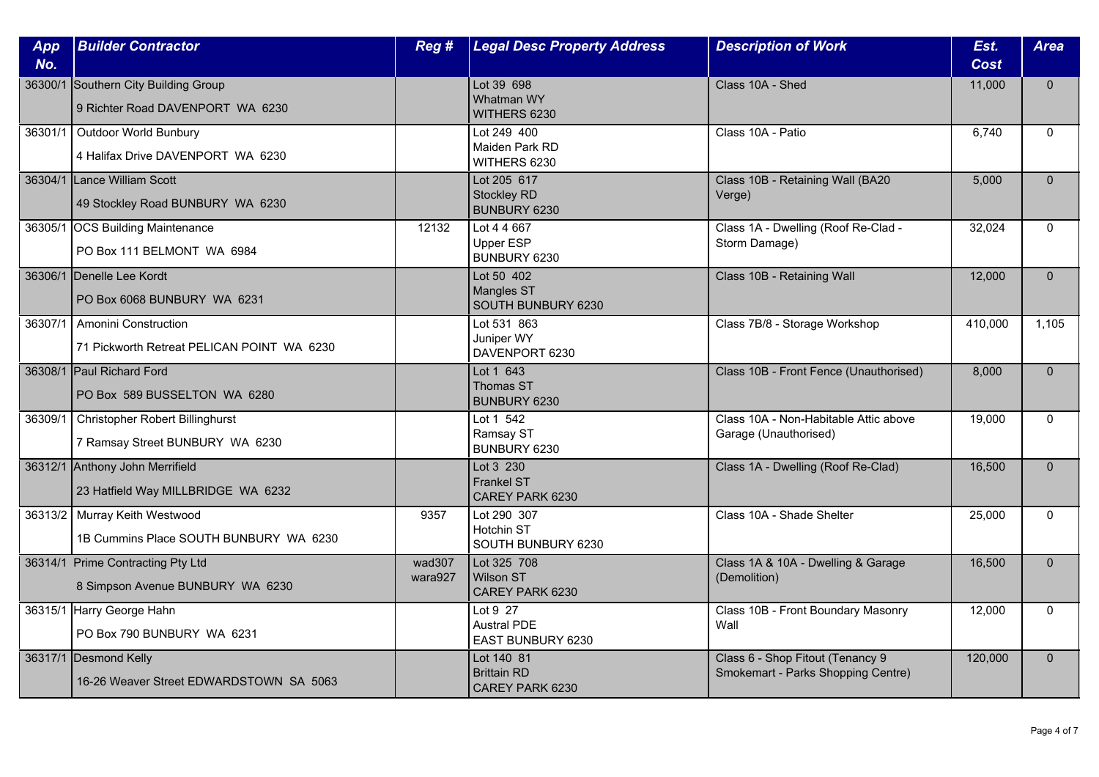| App<br>No. | <b>Builder Contractor</b>                                                 | Reg#              | <b>Legal Desc Property Address</b>                         | <b>Description of Work</b>                                             | Est.<br><b>Cost</b> | <b>Area</b>  |
|------------|---------------------------------------------------------------------------|-------------------|------------------------------------------------------------|------------------------------------------------------------------------|---------------------|--------------|
|            | 36300/1 Southern City Building Group<br>9 Richter Road DAVENPORT WA 6230  |                   | Lot 39 698<br>Whatman WY<br>WITHERS 6230                   | Class 10A - Shed                                                       | 11,000              | $\Omega$     |
| 36301/1    | Outdoor World Bunbury<br>4 Halifax Drive DAVENPORT WA 6230                |                   | Lot 249 400<br>Maiden Park RD<br>WITHERS 6230              | Class 10A - Patio                                                      | 6,740               | $\Omega$     |
|            | 36304/1 Lance William Scott<br>49 Stockley Road BUNBURY WA 6230           |                   | Lot 205 617<br><b>Stockley RD</b><br>BUNBURY 6230          | Class 10B - Retaining Wall (BA20<br>Verge)                             | 5,000               | $\mathbf{0}$ |
|            | 36305/1 OCS Building Maintenance<br>PO Box 111 BELMONT WA 6984            | 12132             | Lot 4 4 667<br>Upper ESP<br>BUNBURY 6230                   | Class 1A - Dwelling (Roof Re-Clad -<br>Storm Damage)                   | 32.024              | $\Omega$     |
|            | 36306/1 Denelle Lee Kordt<br>PO Box 6068 BUNBURY WA 6231                  |                   | Lot 50 402<br><b>Mangles ST</b><br>SOUTH BUNBURY 6230      | Class 10B - Retaining Wall                                             | 12,000              | $\mathbf{0}$ |
| 36307/1    | Amonini Construction<br>71 Pickworth Retreat PELICAN POINT WA 6230        |                   | Lot 531 863<br>Juniper WY<br>DAVENPORT 6230                | Class 7B/8 - Storage Workshop                                          | 410,000             | 1,105        |
|            | 36308/1 Paul Richard Ford<br>PO Box 589 BUSSELTON WA 6280                 |                   | Lot 1 643<br>Thomas ST<br><b>BUNBURY 6230</b>              | Class 10B - Front Fence (Unauthorised)                                 | 8.000               | $\mathbf{0}$ |
| 36309/1    | Christopher Robert Billinghurst<br>7 Ramsay Street BUNBURY WA 6230        |                   | Lot 1 542<br>Ramsay ST<br>BUNBURY 6230                     | Class 10A - Non-Habitable Attic above<br>Garage (Unauthorised)         | 19,000              | $\Omega$     |
|            | 36312/1 Anthony John Merrifield<br>23 Hatfield Way MILLBRIDGE WA 6232     |                   | Lot 3 230<br><b>Frankel ST</b><br>CAREY PARK 6230          | Class 1A - Dwelling (Roof Re-Clad)                                     | 16,500              | $\Omega$     |
|            | 36313/2   Murray Keith Westwood<br>1B Cummins Place SOUTH BUNBURY WA 6230 | 9357              | Lot 290 307<br>Hotchin ST<br>SOUTH BUNBURY 6230            | Class 10A - Shade Shelter                                              | 25,000              | $\mathbf{0}$ |
|            | 36314/1 Prime Contracting Pty Ltd<br>8 Simpson Avenue BUNBURY WA 6230     | wad307<br>wara927 | Lot 325 708<br><b>Wilson ST</b><br>CAREY PARK 6230         | Class 1A & 10A - Dwelling & Garage<br>(Demolition)                     | 16,500              | $\mathbf{0}$ |
|            | 36315/1 Harry George Hahn<br>PO Box 790 BUNBURY WA 6231                   |                   | Lot 9 27<br><b>Austral PDE</b><br><b>EAST BUNBURY 6230</b> | Class 10B - Front Boundary Masonry<br>Wall                             | 12,000              | $\mathbf{0}$ |
|            | 36317/1 Desmond Kelly<br>16-26 Weaver Street EDWARDSTOWN SA 5063          |                   | Lot 140 81<br><b>Brittain RD</b><br>CAREY PARK 6230        | Class 6 - Shop Fitout (Tenancy 9<br>Smokemart - Parks Shopping Centre) | 120,000             | $\mathbf{0}$ |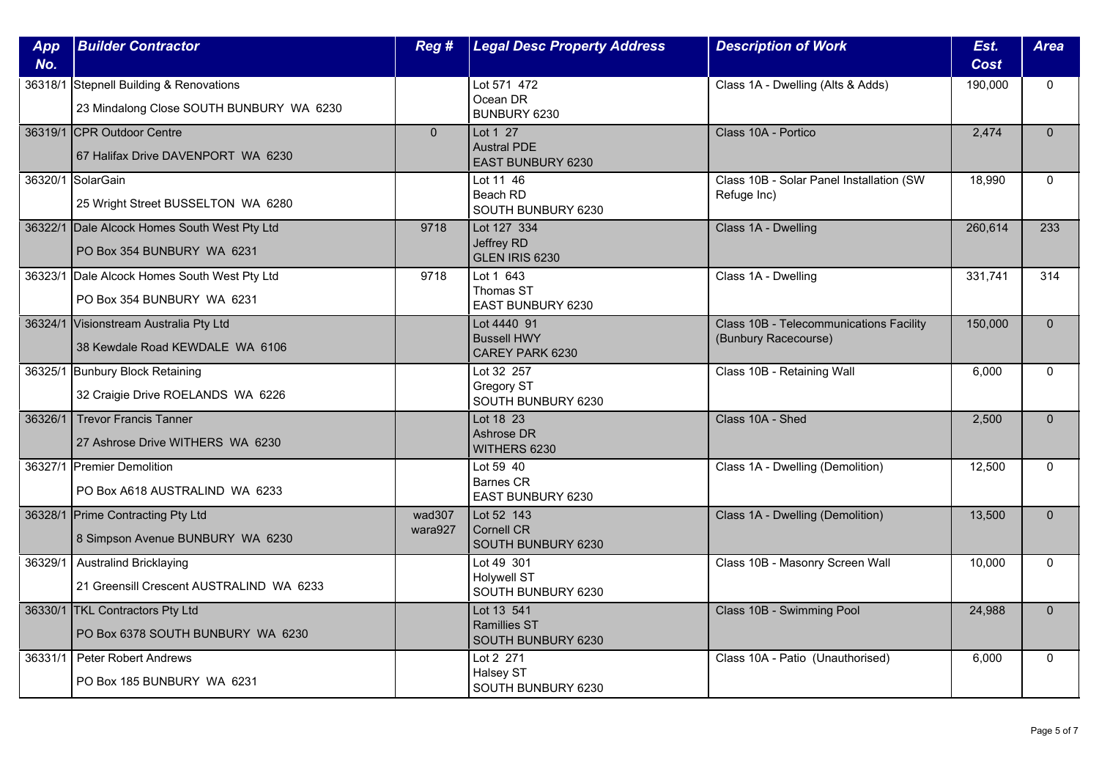| App<br>No. | <b>Builder Contractor</b>                                                           | Reg #             | <b>Legal Desc Property Address</b>                         | <b>Description of Work</b>                                      | Est.<br><b>Cost</b> | <b>Area</b>  |
|------------|-------------------------------------------------------------------------------------|-------------------|------------------------------------------------------------|-----------------------------------------------------------------|---------------------|--------------|
|            | 36318/1 Stepnell Building & Renovations<br>23 Mindalong Close SOUTH BUNBURY WA 6230 |                   | Lot 571 472<br>Ocean DR<br>BUNBURY 6230                    | Class 1A - Dwelling (Alts & Adds)                               | 190,000             | $\mathbf{0}$ |
|            | 36319/1 CPR Outdoor Centre<br>67 Halifax Drive DAVENPORT WA 6230                    | $\overline{0}$    | Lot 1 27<br><b>Austral PDE</b><br><b>EAST BUNBURY 6230</b> | Class 10A - Portico                                             | 2.474               | $\Omega$     |
|            | 36320/1 SolarGain<br>25 Wright Street BUSSELTON WA 6280                             |                   | Lot 11 46<br>Beach RD<br>SOUTH BUNBURY 6230                | Class 10B - Solar Panel Installation (SW<br>Refuge Inc)         | 18,990              | $\Omega$     |
|            | 36322/1 Dale Alcock Homes South West Pty Ltd<br>PO Box 354 BUNBURY WA 6231          | 9718              | Lot 127 334<br>Jeffrey RD<br>GLEN IRIS 6230                | Class 1A - Dwelling                                             | 260,614             | 233          |
|            | 36323/1 Dale Alcock Homes South West Pty Ltd<br>PO Box 354 BUNBURY WA 6231          | 9718              | Lot 1 643<br>Thomas ST<br>EAST BUNBURY 6230                | Class 1A - Dwelling                                             | 331,741             | 314          |
|            | 36324/1 Visionstream Australia Pty Ltd<br>38 Kewdale Road KEWDALE WA 6106           |                   | Lot 4440 91<br><b>Bussell HWY</b><br>CAREY PARK 6230       | Class 10B - Telecommunications Facility<br>(Bunbury Racecourse) | 150,000             | $\Omega$     |
|            | 36325/1 Bunbury Block Retaining<br>32 Craigie Drive ROELANDS WA 6226                |                   | Lot 32 257<br>Gregory ST<br>SOUTH BUNBURY 6230             | Class 10B - Retaining Wall                                      | 6,000               | $\mathbf 0$  |
| 36326/1    | Trevor Francis Tanner<br>27 Ashrose Drive WITHERS WA 6230                           |                   | Lot 18 23<br>Ashrose DR<br>WITHERS 6230                    | Class 10A - Shed                                                | 2,500               | $\mathbf{0}$ |
|            | 36327/1 Premier Demolition<br>PO Box A618 AUSTRALIND WA 6233                        |                   | Lot 59 40<br><b>Barnes CR</b><br>EAST BUNBURY 6230         | Class 1A - Dwelling (Demolition)                                | 12,500              | $\Omega$     |
|            | 36328/1 Prime Contracting Pty Ltd<br>8 Simpson Avenue BUNBURY WA 6230               | wad307<br>wara927 | Lot 52 143<br>Cornell CR<br>SOUTH BUNBURY 6230             | Class 1A - Dwelling (Demolition)                                | 13,500              | $\mathbf{0}$ |
| 36329/1    | <b>Australind Bricklaying</b><br>21 Greensill Crescent AUSTRALIND WA 6233           |                   | Lot 49 301<br><b>Holywell ST</b><br>SOUTH BUNBURY 6230     | Class 10B - Masonry Screen Wall                                 | 10,000              | $\mathbf{0}$ |
|            | 36330/1 TKL Contractors Pty Ltd<br>PO Box 6378 SOUTH BUNBURY WA 6230                |                   | Lot 13 541<br><b>Ramillies ST</b><br>SOUTH BUNBURY 6230    | Class 10B - Swimming Pool                                       | 24,988              | $\Omega$     |
| 36331/1    | <b>Peter Robert Andrews</b><br>PO Box 185 BUNBURY WA 6231                           |                   | Lot 2 271<br>Halsey ST<br>SOUTH BUNBURY 6230               | Class 10A - Patio (Unauthorised)                                | 6,000               | $\mathbf{0}$ |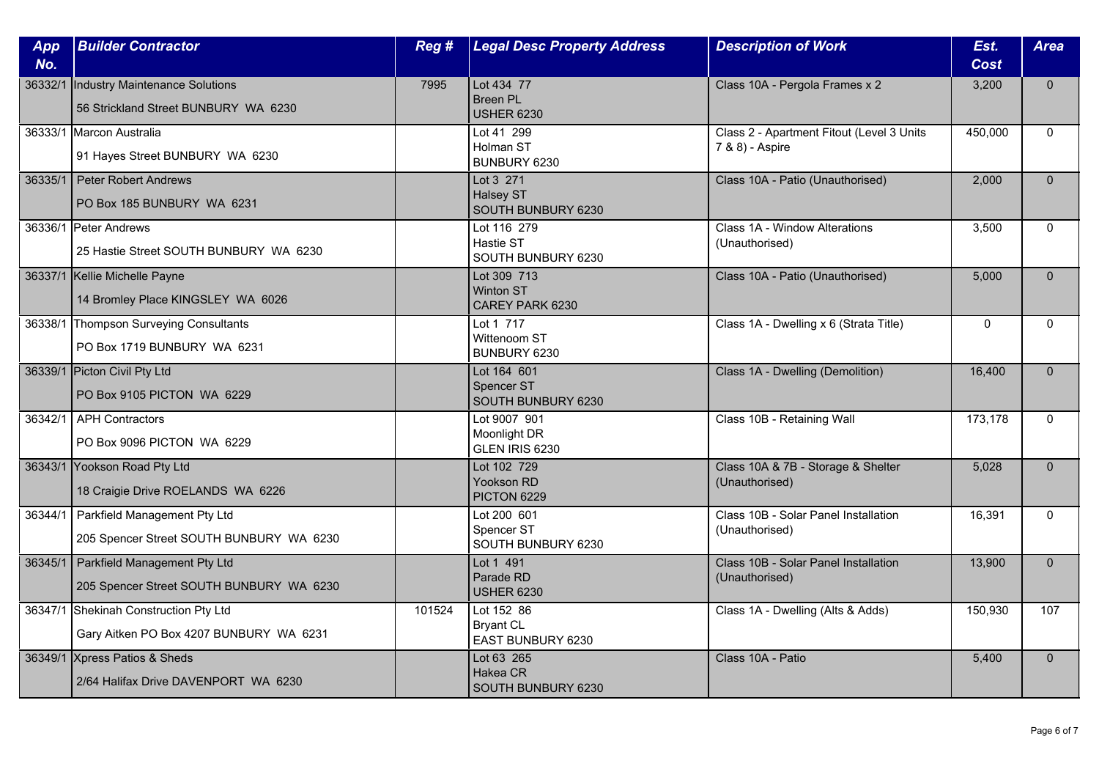| App<br>No. | <b>Builder Contractor</b>                                                          | Reg #  | <b>Legal Desc Property Address</b>                  | <b>Description of Work</b>                                   | Est.<br><b>Cost</b> | <b>Area</b>  |
|------------|------------------------------------------------------------------------------------|--------|-----------------------------------------------------|--------------------------------------------------------------|---------------------|--------------|
| 36332/1    | Industry Maintenance Solutions<br>56 Strickland Street BUNBURY WA 6230             | 7995   | Lot 434 77<br><b>Breen PL</b><br><b>USHER 6230</b>  | Class 10A - Pergola Frames x 2                               | 3,200               | $\Omega$     |
|            | 36333/1 Marcon Australia<br>91 Hayes Street BUNBURY WA 6230                        |        | Lot 41 299<br>Holman ST<br>BUNBURY 6230             | Class 2 - Apartment Fitout (Level 3 Units<br>7 & 8) - Aspire | 450,000             | $\Omega$     |
| 36335/1    | Peter Robert Andrews<br>PO Box 185 BUNBURY WA 6231                                 |        | Lot 3 271<br>Halsey ST<br>SOUTH BUNBURY 6230        | Class 10A - Patio (Unauthorised)                             | 2,000               | $\mathbf{0}$ |
|            | 36336/1 Peter Andrews<br>25 Hastie Street SOUTH BUNBURY WA 6230                    |        | Lot 116 279<br>Hastie ST<br>SOUTH BUNBURY 6230      | Class 1A - Window Alterations<br>(Unauthorised)              | 3,500               | $\Omega$     |
|            | 36337/1 Kellie Michelle Payne<br>14 Bromley Place KINGSLEY WA 6026                 |        | Lot 309 713<br><b>Winton ST</b><br>CAREY PARK 6230  | Class 10A - Patio (Unauthorised)                             | 5,000               | $\Omega$     |
|            | 36338/1 Thompson Surveying Consultants<br>PO Box 1719 BUNBURY WA 6231              |        | Lot 1 717<br>Wittenoom ST<br>BUNBURY 6230           | Class 1A - Dwelling x 6 (Strata Title)                       | $\mathbf{0}$        | $\Omega$     |
|            | 36339/1 Picton Civil Pty Ltd<br>PO Box 9105 PICTON WA 6229                         |        | Lot 164 601<br>Spencer ST<br>SOUTH BUNBURY 6230     | Class 1A - Dwelling (Demolition)                             | 16,400              | $\mathbf{0}$ |
| 36342/1    | APH Contractors<br>PO Box 9096 PICTON WA 6229                                      |        | Lot 9007 901<br>Moonlight DR<br>GLEN IRIS 6230      | Class 10B - Retaining Wall                                   | 173,178             | $\Omega$     |
|            | 36343/1 Yookson Road Pty Ltd<br>18 Craigie Drive ROELANDS WA 6226                  |        | Lot 102 729<br>Yookson RD<br><b>PICTON 6229</b>     | Class 10A & 7B - Storage & Shelter<br>(Unauthorised)         | 5,028               | $\Omega$     |
| 36344/1    | Parkfield Management Pty Ltd<br>205 Spencer Street SOUTH BUNBURY WA 6230           |        | Lot 200 601<br>Spencer ST<br>SOUTH BUNBURY 6230     | Class 10B - Solar Panel Installation<br>(Unauthorised)       | 16,391              | $\mathbf{0}$ |
|            | 36345/1   Parkfield Management Pty Ltd<br>205 Spencer Street SOUTH BUNBURY WA 6230 |        | Lot 1 491<br>Parade RD<br><b>USHER 6230</b>         | Class 10B - Solar Panel Installation<br>(Unauthorised)       | 13,900              | $\mathbf{0}$ |
|            | 36347/1 Shekinah Construction Pty Ltd<br>Gary Aitken PO Box 4207 BUNBURY WA 6231   | 101524 | Lot 152 86<br><b>Bryant CL</b><br>EAST BUNBURY 6230 | Class 1A - Dwelling (Alts & Adds)                            | 150,930             | 107          |
|            | 36349/1 Xpress Patios & Sheds<br>2/64 Halifax Drive DAVENPORT WA 6230              |        | Lot 63 265<br>Hakea CR<br>SOUTH BUNBURY 6230        | Class 10A - Patio                                            | 5,400               | $\mathbf{0}$ |